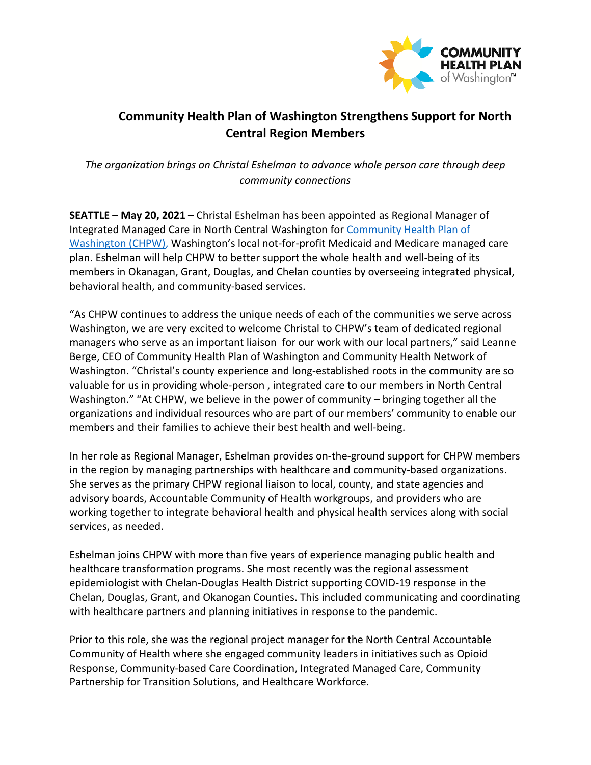

## **Community Health Plan of Washington Strengthens Support for North Central Region Members**

*The organization brings on Christal Eshelman to advance whole person care through deep community connections*

**SEATTLE – May 20, 2021 –** Christal Eshelman has been appointed as Regional Manager of Integrated Managed Care in North Central Washington for [Community Health Plan of](http://www.chpw.org/)  [Washington \(CHPW\),](http://www.chpw.org/) Washington's local not-for-profit Medicaid and Medicare managed care plan. Eshelman will help CHPW to better support the whole health and well-being of its members in Okanagan, Grant, Douglas, and Chelan counties by overseeing integrated physical, behavioral health, and community-based services.

"As CHPW continues to address the unique needs of each of the communities we serve across Washington, we are very excited to welcome Christal to CHPW's team of dedicated regional managers who serve as an important liaison for our work with our local partners," said Leanne Berge, CEO of Community Health Plan of Washington and Community Health Network of Washington. "Christal's county experience and long-established roots in the community are so valuable for us in providing whole-person , integrated care to our members in North Central Washington." "At CHPW, we believe in the power of community – bringing together all the organizations and individual resources who are part of our members' community to enable our members and their families to achieve their best health and well-being.

In her role as Regional Manager, Eshelman provides on-the-ground support for CHPW members in the region by managing partnerships with healthcare and community-based organizations. She serves as the primary CHPW regional liaison to local, county, and state agencies and advisory boards, Accountable Community of Health workgroups, and providers who are working together to integrate behavioral health and physical health services along with social services, as needed.

Eshelman joins CHPW with more than five years of experience managing public health and healthcare transformation programs. She most recently was the regional assessment epidemiologist with Chelan-Douglas Health District supporting COVID-19 response in the Chelan, Douglas, Grant, and Okanogan Counties. This included communicating and coordinating with healthcare partners and planning initiatives in response to the pandemic.

Prior to this role, she was the regional project manager for the North Central Accountable Community of Health where she engaged community leaders in initiatives such as Opioid Response, Community-based Care Coordination, Integrated Managed Care, Community Partnership for Transition Solutions, and Healthcare Workforce.